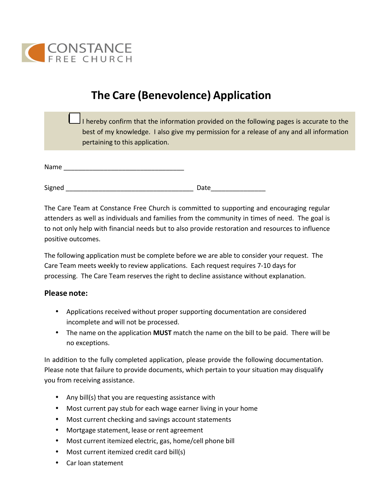

# **The Care (Benevolence) Application**

|  | I hereby confirm that the information provided on the following pages is accurate to the |
|--|------------------------------------------------------------------------------------------|
|  | best of my knowledge. I also give my permission for a release of any and all information |
|  | pertaining to this application.                                                          |

| Name |  |
|------|--|
|      |  |

| Signed | Datc |
|--------|------|
|        |      |

The Care Team at Constance Free Church is committed to supporting and encouraging regular attenders as well as individuals and families from the community in times of need. The goal is to not only help with financial needs but to also provide restoration and resources to influence positive outcomes.

The following application must be complete before we are able to consider your request. The Care Team meets weekly to review applications. Each request requires 7-10 days for processing. The Care Team reserves the right to decline assistance without explanation.

#### **Please note:**

- Applications received without proper supporting documentation are considered incomplete and will not be processed.
- The name on the application MUST match the name on the bill to be paid. There will be no exceptions.

In addition to the fully completed application, please provide the following documentation. Please note that failure to provide documents, which pertain to your situation may disqualify you from receiving assistance.

- Any bill(s) that you are requesting assistance with
- Most current pay stub for each wage earner living in your home
- Most current checking and savings account statements
- Mortgage statement, lease or rent agreement
- Most current itemized electric, gas, home/cell phone bill
- Most current itemized credit card bill(s)
- Car loan statement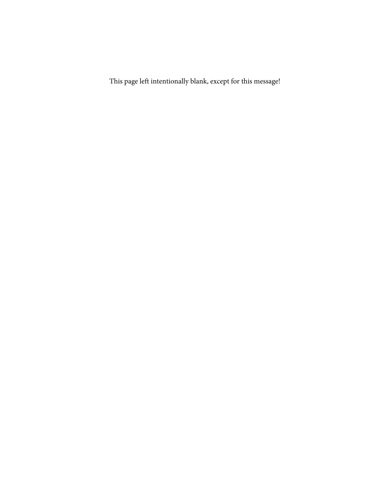This page left intentionally blank, except for this message!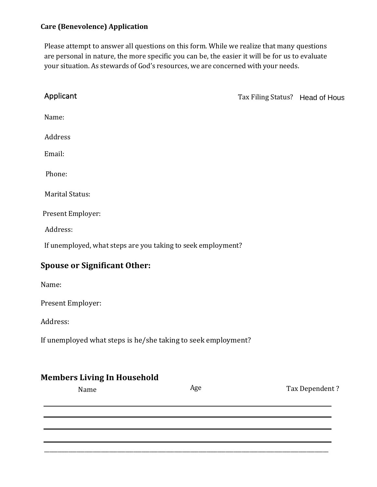#### **Care (Benevolence) Application**

Please attempt to answer all questions on this form. While we realize that many questions are personal in nature, the more specific you can be, the easier it will be for us to evaluate your situation. As stewards of God's resources, we are concerned with your needs.

| Applicant                                                     |     | Tax Filing Status? Head of Hous |                |
|---------------------------------------------------------------|-----|---------------------------------|----------------|
| Name:                                                         |     |                                 |                |
| Address                                                       |     |                                 |                |
| Email:                                                        |     |                                 |                |
| Phone:                                                        |     |                                 |                |
| <b>Marital Status:</b>                                        |     |                                 |                |
| Present Employer:                                             |     |                                 |                |
| Address:                                                      |     |                                 |                |
| If unemployed, what steps are you taking to seek employment?  |     |                                 |                |
| <b>Spouse or Significant Other:</b>                           |     |                                 |                |
| Name:                                                         |     |                                 |                |
| Present Employer:                                             |     |                                 |                |
| Address:                                                      |     |                                 |                |
| If unemployed what steps is he/she taking to seek employment? |     |                                 |                |
| <b>Members Living In Household</b>                            |     |                                 |                |
| Name                                                          | Age |                                 | Tax Dependent? |

\_\_\_\_\_\_\_\_\_\_\_\_\_\_\_\_\_\_\_\_\_\_\_\_\_\_\_\_\_\_\_\_\_\_\_\_\_\_\_\_\_\_\_\_\_\_\_\_\_\_\_\_\_\_\_\_\_\_\_\_\_\_\_\_\_\_\_\_\_\_\_\_\_\_\_\_\_\_\_\_\_\_\_\_\_\_\_\_\_\_\_\_\_\_\_\_\_\_\_\_\_\_\_\_\_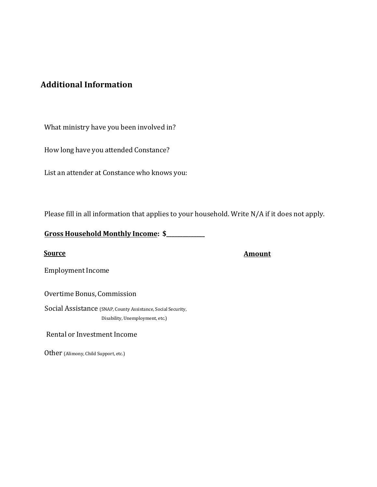## **Additional Information**

What ministry have you been involved in?

How long have you attended Constance? 

List an attender at Constance who knows you: 

Please fill in all information that applies to your household. Write N/A if it does not apply.

Gross Household Monthly Income: \$\_\_\_\_\_\_\_\_\_\_\_

**Source Amount**

Employment Income

Overtime Bonus, Commission

Social Assistance (SNAP, County Assistance, Social Security, Disability, Unemployment, etc.)

Rental or Investment Income 

Other (Alimony, Child Support, etc.)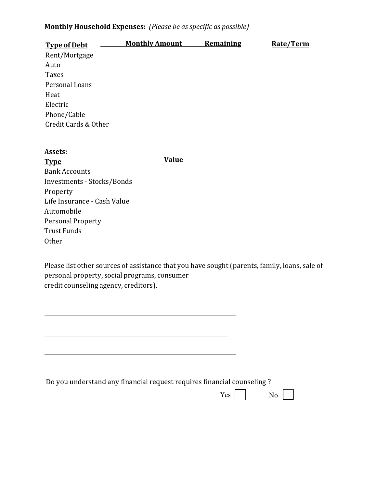#### Monthly Household Expenses: (Please be as specific as possible)

| <b>Type of Debt</b>  | <b>Monthly Amount</b> | Remaining | Rate/Term |
|----------------------|-----------------------|-----------|-----------|
| Rent/Mortgage        |                       |           |           |
| Auto                 |                       |           |           |
| <b>Taxes</b>         |                       |           |           |
| Personal Loans       |                       |           |           |
| Heat                 |                       |           |           |
| Electric             |                       |           |           |
| Phone/Cable          |                       |           |           |
| Credit Cards & Other |                       |           |           |
|                      |                       |           |           |
|                      |                       |           |           |

**Value** 

| Assets:                     |
|-----------------------------|
| <b>Type</b>                 |
| <b>Bank Accounts</b>        |
| Investments - Stocks/Bonds  |
| Property                    |
| Life Insurance - Cash Value |
| Automobile                  |
| <b>Personal Property</b>    |
| <b>Trust Funds</b>          |
| Other                       |

Please list other sources of assistance that you have sought (parents, family, loans, sale of personal property, social programs, consumer credit counseling agency, creditors).

Do you understand any financial request requires financial counseling?

 $Yes$   $\Box$  $No$